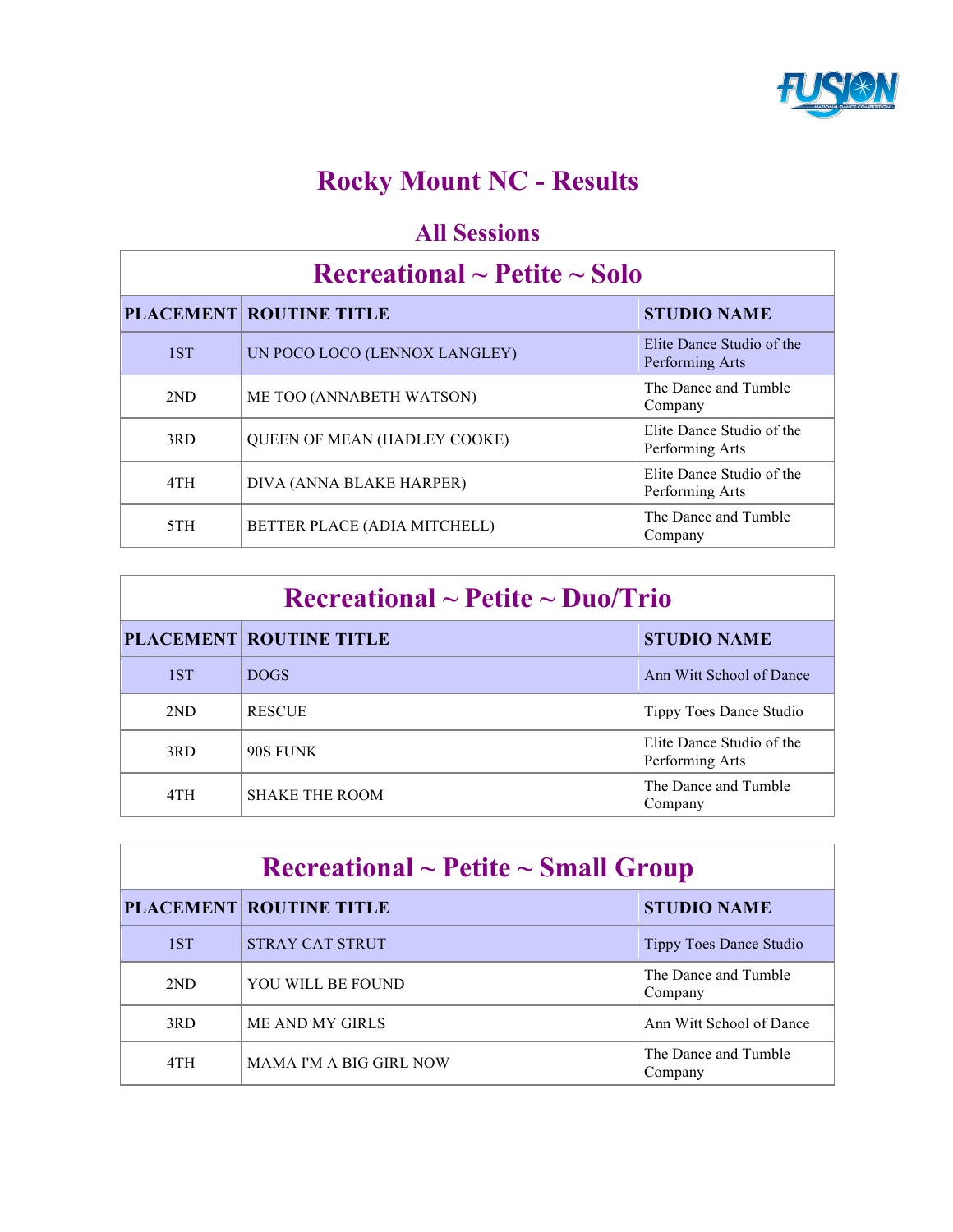

# **Rocky Mount NC - Results**

### **All Sessions**

### **Recreational ~ Petite ~ Solo**

|     | <b>PLACEMENT ROUTINE TITLE</b>      | <b>STUDIO NAME</b>                           |
|-----|-------------------------------------|----------------------------------------------|
| 1ST | UN POCO LOCO (LENNOX LANGLEY)       | Elite Dance Studio of the<br>Performing Arts |
| 2ND | ME TOO (ANNABETH WATSON)            | The Dance and Tumble<br>Company              |
| 3RD | <b>QUEEN OF MEAN (HADLEY COOKE)</b> | Elite Dance Studio of the<br>Performing Arts |
| 4TH | DIVA (ANNA BLAKE HARPER)            | Elite Dance Studio of the<br>Performing Arts |
| 5TH | BETTER PLACE (ADIA MITCHELL)        | The Dance and Tumble<br>Company              |

| $\rm Recreational \sim Petite \sim Duo/Trio$ |                                |                                              |
|----------------------------------------------|--------------------------------|----------------------------------------------|
|                                              | <b>PLACEMENT ROUTINE TITLE</b> | <b>STUDIO NAME</b>                           |
| 1ST                                          | <b>DOGS</b>                    | Ann Witt School of Dance                     |
| 2ND                                          | <b>RESCUE</b>                  | Tippy Toes Dance Studio                      |
| 3RD                                          | 90S FUNK                       | Elite Dance Studio of the<br>Performing Arts |
| 4TH                                          | <b>SHAKE THE ROOM</b>          | The Dance and Tumble<br>Company              |

| $\rm Recreational \sim Petite \sim Small~Group$ |                                |                                 |
|-------------------------------------------------|--------------------------------|---------------------------------|
|                                                 | <b>PLACEMENT ROUTINE TITLE</b> | <b>STUDIO NAME</b>              |
| 1ST                                             | <b>STRAY CAT STRUT</b>         | Tippy Toes Dance Studio         |
| 2ND                                             | YOU WILL BE FOUND              | The Dance and Tumble<br>Company |
| 3RD                                             | ME AND MY GIRLS                | Ann Witt School of Dance        |
| 4TH                                             | MAMA I'M A BIG GIRL NOW        | The Dance and Tumble<br>Company |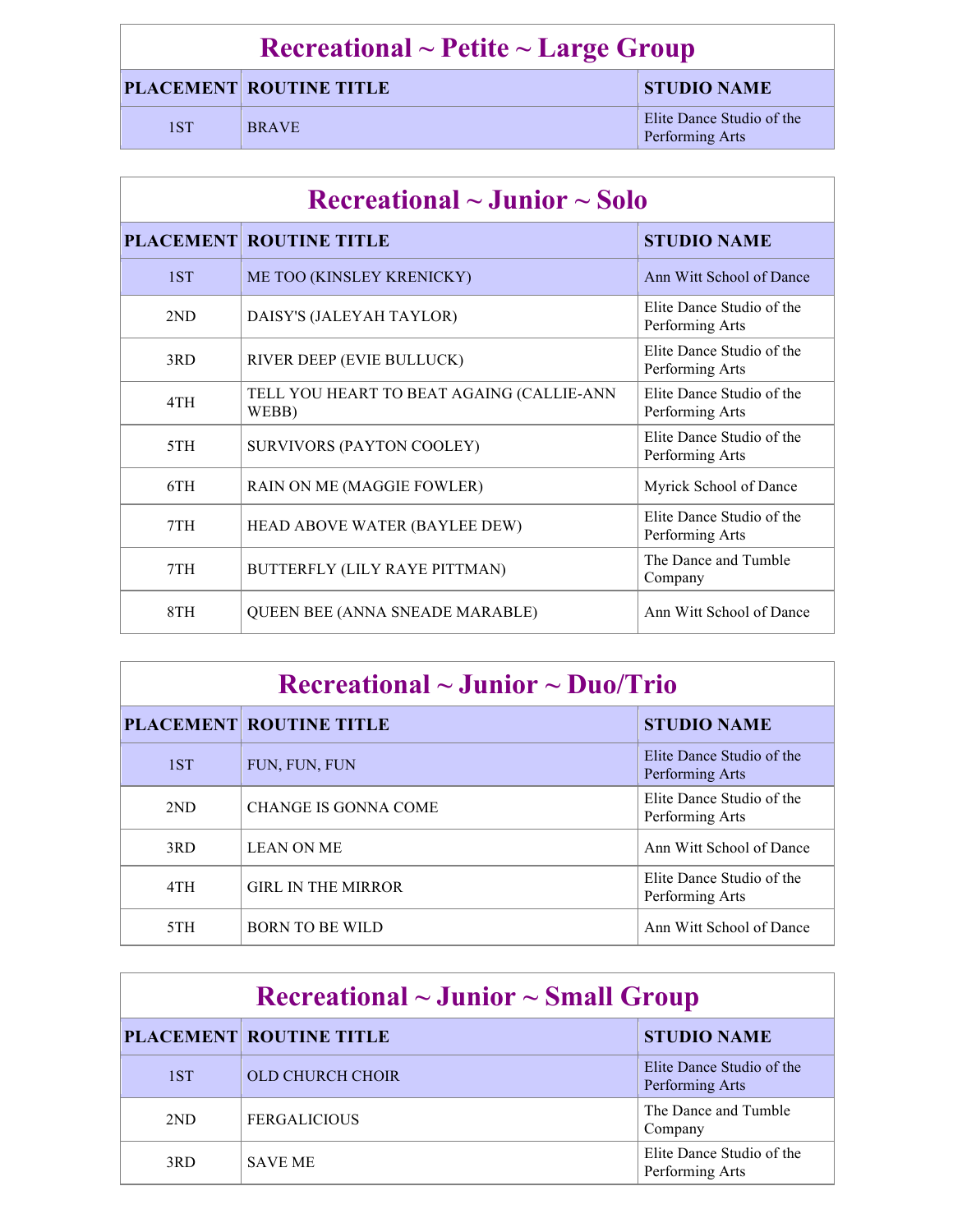# **Recreational ~ Petite ~ Large Group**

#### **PLACEMENT ROUTINE TITLE STUDIO NAME**

1ST BRAVE Elite Dance Studio of the Barriers of the Dance Studio of the Barriers of the Barriers of the Barriers of the Barriers of the Barriers of the Barriers of the Barriers of the Barriers of the Barriers of the Barrie Performing Arts

| $\rm Recreational \sim Junior \sim Solo$ |                                                    |                                              |  |
|------------------------------------------|----------------------------------------------------|----------------------------------------------|--|
|                                          | <b>PLACEMENT ROUTINE TITLE</b>                     | <b>STUDIO NAME</b>                           |  |
| 1ST                                      | ME TOO (KINSLEY KRENICKY)                          | Ann Witt School of Dance                     |  |
| 2ND                                      | DAISY'S (JALEYAH TAYLOR)                           | Elite Dance Studio of the<br>Performing Arts |  |
| 3RD                                      | RIVER DEEP (EVIE BULLUCK)                          | Elite Dance Studio of the<br>Performing Arts |  |
| 4TH                                      | TELL YOU HEART TO BEAT AGAING (CALLIE-ANN<br>WEBB) | Elite Dance Studio of the<br>Performing Arts |  |
| 5TH                                      | <b>SURVIVORS (PAYTON COOLEY)</b>                   | Elite Dance Studio of the<br>Performing Arts |  |
| 6TH                                      | RAIN ON ME (MAGGIE FOWLER)                         | Myrick School of Dance                       |  |
| 7TH                                      | HEAD ABOVE WATER (BAYLEE DEW)                      | Elite Dance Studio of the<br>Performing Arts |  |
| 7TH                                      | BUTTERFLY (LILY RAYE PITTMAN)                      | The Dance and Tumble<br>Company              |  |
| 8TH                                      | <b>QUEEN BEE (ANNA SNEADE MARABLE)</b>             | Ann Witt School of Dance                     |  |

| $\rm Recreational \sim Junior \sim Duo/Trio$ |                                |                                              |
|----------------------------------------------|--------------------------------|----------------------------------------------|
|                                              | <b>PLACEMENT ROUTINE TITLE</b> | <b>STUDIO NAME</b>                           |
| 1ST                                          | FUN, FUN, FUN                  | Elite Dance Studio of the<br>Performing Arts |
| 2ND                                          | <b>CHANGE IS GONNA COME</b>    | Elite Dance Studio of the<br>Performing Arts |
| 3RD                                          | <b>LEAN ON ME</b>              | Ann Witt School of Dance                     |
| 4TH                                          | <b>GIRL IN THE MIRROR</b>      | Elite Dance Studio of the<br>Performing Arts |
| 5TH                                          | <b>BORN TO BE WILD</b>         | Ann Witt School of Dance                     |

| $\rm Recreational \sim Junior \sim Small\,\, Group$ |                                |                                              |
|-----------------------------------------------------|--------------------------------|----------------------------------------------|
|                                                     | <b>PLACEMENT ROUTINE TITLE</b> | <b>STUDIO NAME</b>                           |
| 1ST                                                 | <b>OLD CHURCH CHOIR</b>        | Elite Dance Studio of the<br>Performing Arts |
| 2ND                                                 | <b>FERGALICIOUS</b>            | The Dance and Tumble<br>Company              |
| 3RD                                                 | <b>SAVE ME</b>                 | Elite Dance Studio of the<br>Performing Arts |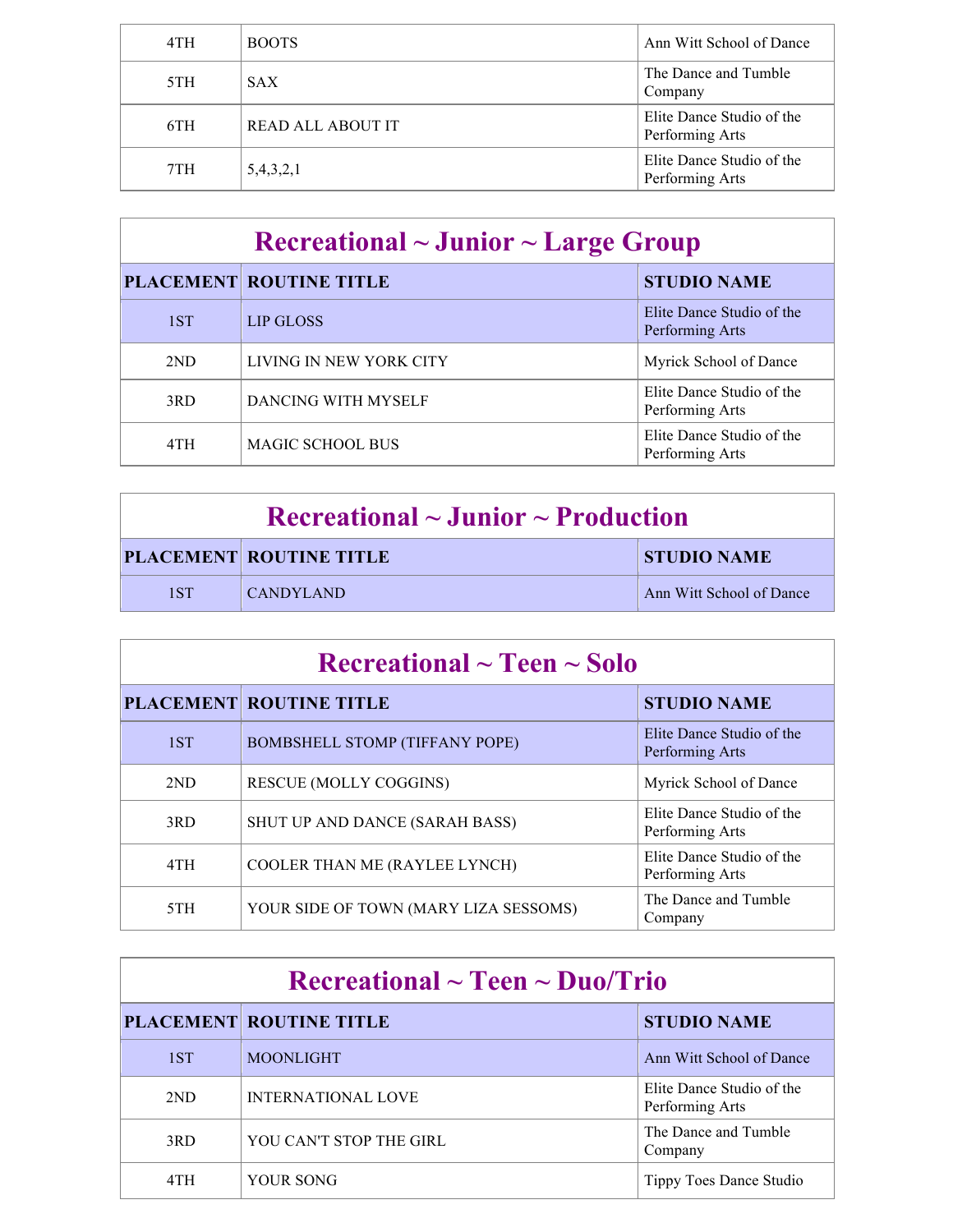| 4TH | <b>BOOTS</b>             | Ann Witt School of Dance                     |
|-----|--------------------------|----------------------------------------------|
| 5TH | <b>SAX</b>               | The Dance and Tumble<br>Company              |
| 6TH | <b>READ ALL ABOUT IT</b> | Elite Dance Studio of the<br>Performing Arts |
| 7TH | 5,4,3,2,1                | Elite Dance Studio of the<br>Performing Arts |

| $\rm Recreational \sim Junior \sim Large\ Group$ |                                |                                              |
|--------------------------------------------------|--------------------------------|----------------------------------------------|
|                                                  | <b>PLACEMENT ROUTINE TITLE</b> | <b>STUDIO NAME</b>                           |
| 1ST                                              | LIP GLOSS                      | Elite Dance Studio of the<br>Performing Arts |
| 2ND                                              | LIVING IN NEW YORK CITY        | Myrick School of Dance                       |
| 3RD                                              | DANCING WITH MYSELF            | Elite Dance Studio of the<br>Performing Arts |
| 4TH                                              | <b>MAGIC SCHOOL BUS</b>        | Elite Dance Studio of the<br>Performing Arts |

| $\rm Recreational \sim Junior \sim Production$ |                                |                          |
|------------------------------------------------|--------------------------------|--------------------------|
|                                                | <b>PLACEMENT ROUTINE TITLE</b> | <b>STUDIO NAME</b>       |
| 1ST                                            | <b>CANDYLAND</b>               | Ann Witt School of Dance |

| Recreational $\sim$ Teen $\sim$ Solo |                                       |                                              |
|--------------------------------------|---------------------------------------|----------------------------------------------|
|                                      | <b>PLACEMENT ROUTINE TITLE</b>        | <b>STUDIO NAME</b>                           |
| 1ST                                  | <b>BOMBSHELL STOMP (TIFFANY POPE)</b> | Elite Dance Studio of the<br>Performing Arts |
| 2ND                                  | <b>RESCUE (MOLLY COGGINS)</b>         | Myrick School of Dance                       |
| 3RD                                  | SHUT UP AND DANCE (SARAH BASS)        | Elite Dance Studio of the<br>Performing Arts |
| 4TH                                  | COOLER THAN ME (RAYLEE LYNCH)         | Elite Dance Studio of the<br>Performing Arts |
| 5TH                                  | YOUR SIDE OF TOWN (MARY LIZA SESSOMS) | The Dance and Tumble<br>Company              |

| $\rm Recreational \sim Teen \sim Duo/Trio$ |                                |                                              |
|--------------------------------------------|--------------------------------|----------------------------------------------|
|                                            | <b>PLACEMENT ROUTINE TITLE</b> | <b>STUDIO NAME</b>                           |
| 1ST                                        | <b>MOONLIGHT</b>               | Ann Witt School of Dance                     |
| 2ND                                        | <b>INTERNATIONAL LOVE</b>      | Elite Dance Studio of the<br>Performing Arts |
| 3RD                                        | YOU CAN'T STOP THE GIRL        | The Dance and Tumble<br>Company              |
| 4TH                                        | YOUR SONG                      | Tippy Toes Dance Studio                      |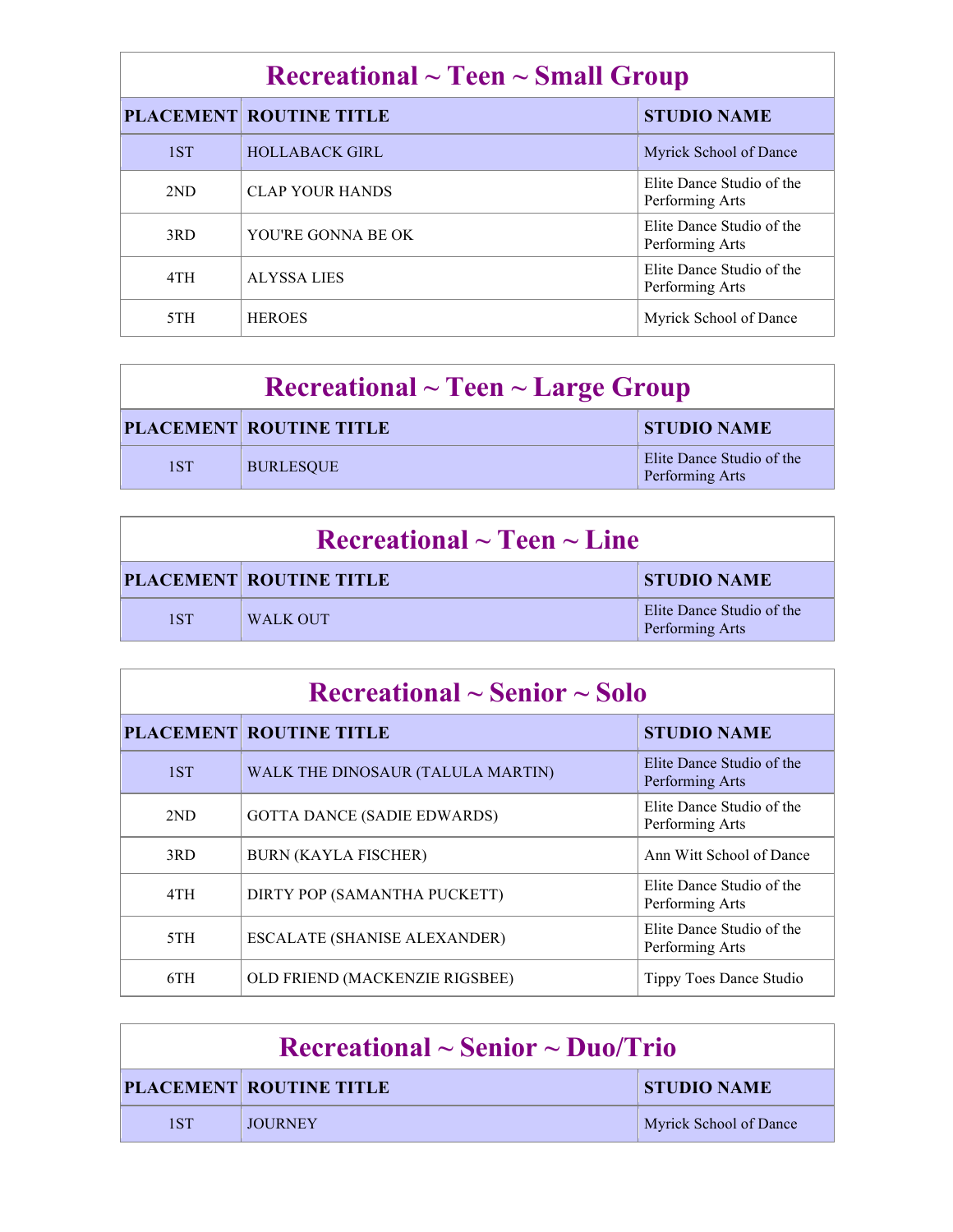# **Recreational ~ Teen ~ Small Group**

|  |     | <b>PLACEMENT ROUTINE TITLE</b> | <b>STUDIO NAME</b>                           |
|--|-----|--------------------------------|----------------------------------------------|
|  | 1ST | <b>HOLLABACK GIRL</b>          | Myrick School of Dance                       |
|  | 2ND | <b>CLAP YOUR HANDS</b>         | Elite Dance Studio of the<br>Performing Arts |
|  | 3RD | YOU'RE GONNA BE OK             | Elite Dance Studio of the<br>Performing Arts |
|  | 4TH | <b>ALYSSA LIES</b>             | Elite Dance Studio of the<br>Performing Arts |
|  | 5TH | <b>HEROES</b>                  | Myrick School of Dance                       |

| $\textbf{Recretional} \sim \textbf{Teen} \sim \textbf{Large Group}$ |                                |                                              |
|---------------------------------------------------------------------|--------------------------------|----------------------------------------------|
|                                                                     | <b>PLACEMENT ROUTINE TITLE</b> | <b>STUDIO NAME</b>                           |
| 1ST                                                                 | <b>BURLESQUE</b>               | Elite Dance Studio of the<br>Performing Arts |

| $\rm Recreational \sim Teen \sim Line$ |                                |                                              |
|----------------------------------------|--------------------------------|----------------------------------------------|
|                                        | <b>PLACEMENT ROUTINE TITLE</b> | <b>STUDIO NAME</b>                           |
| 1ST                                    | <b>WALK OUT</b>                | Elite Dance Studio of the<br>Performing Arts |

### **Recreational ~ Senior ~ Solo**

|     | <b>PLACEMENT ROUTINE TITLE</b>      | <b>STUDIO NAME</b>                           |
|-----|-------------------------------------|----------------------------------------------|
| 1ST | WALK THE DINOSAUR (TALULA MARTIN)   | Elite Dance Studio of the<br>Performing Arts |
| 2ND | <b>GOTTA DANCE (SADIE EDWARDS)</b>  | Elite Dance Studio of the<br>Performing Arts |
| 3RD | <b>BURN (KAYLA FISCHER)</b>         | Ann Witt School of Dance                     |
| 4TH | DIRTY POP (SAMANTHA PUCKETT)        | Elite Dance Studio of the<br>Performing Arts |
| 5TH | <b>ESCALATE (SHANISE ALEXANDER)</b> | Elite Dance Studio of the<br>Performing Arts |
| 6TH | OLD FRIEND (MACKENZIE RIGSBEE)      | Tippy Toes Dance Studio                      |

| $\rm Recreational \sim Senior \sim Duo/Trio$ |                                |                        |
|----------------------------------------------|--------------------------------|------------------------|
|                                              | <b>PLACEMENT ROUTINE TITLE</b> | <b>STUDIO NAME</b>     |
| 1ST                                          | <b>JOURNEY</b>                 | Myrick School of Dance |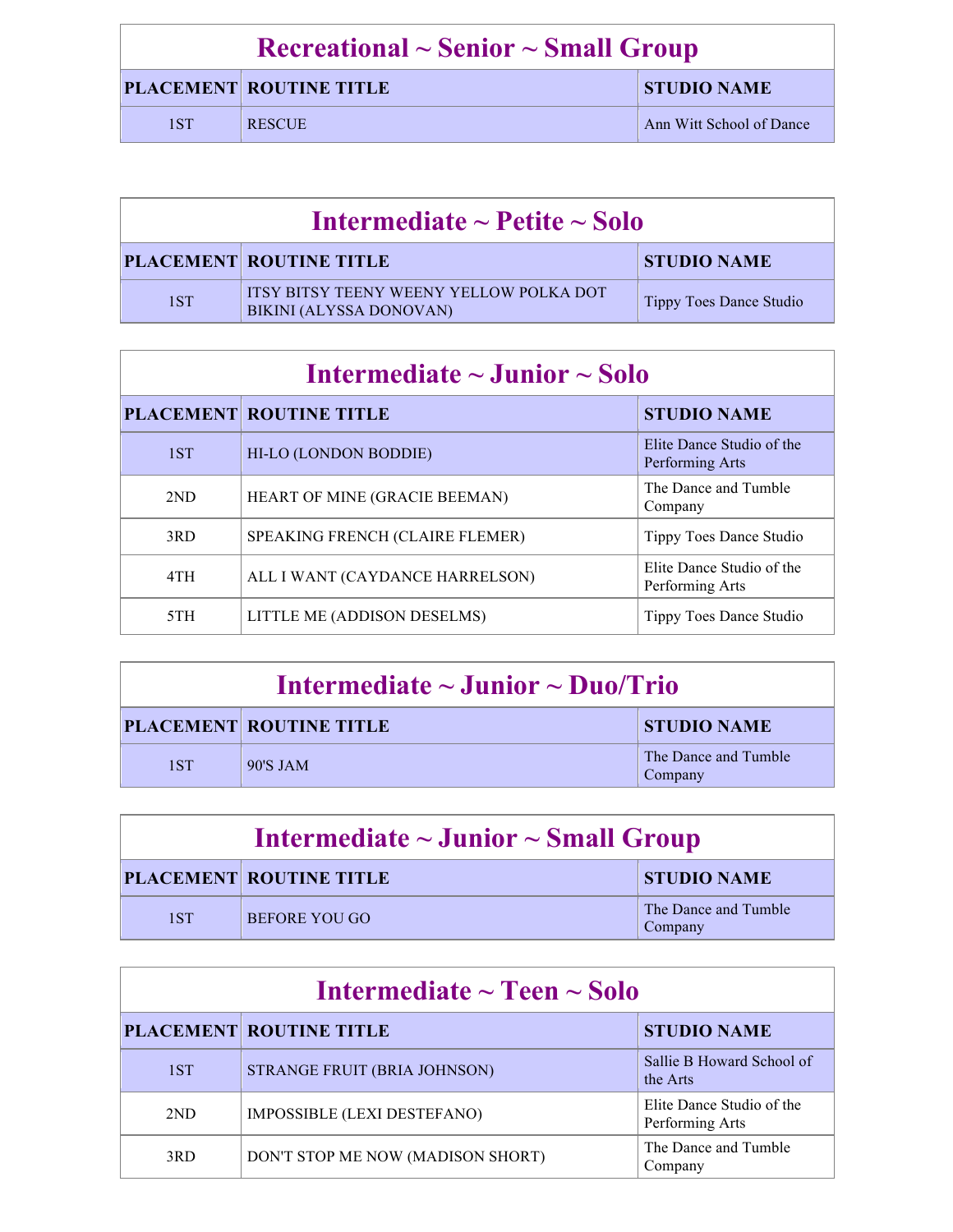| $\rm Recreational \sim Senior \sim Small\,\, Group$ |                                |                          |
|-----------------------------------------------------|--------------------------------|--------------------------|
|                                                     | <b>PLACEMENT ROUTINE TITLE</b> | <b>STUDIO NAME</b>       |
| 1 S T                                               | <b>RESCUE</b>                  | Ann Witt School of Dance |

| Intermediate $\sim$ Petite $\sim$ Solo |                                                                                  |                                |
|----------------------------------------|----------------------------------------------------------------------------------|--------------------------------|
|                                        | <b>PLACEMENT ROUTINE TITLE</b>                                                   | <b>STUDIO NAME</b>             |
| 1ST                                    | <b>ITSY BITSY TEENY WEENY YELLOW POLKA DOT</b><br><b>BIKINI (ALYSSA DONOVAN)</b> | <b>Tippy Toes Dance Studio</b> |

# **Intermediate ~ Junior ~ Solo**

|     | <b>PLACEMENT ROUTINE TITLE</b>  | <b>STUDIO NAME</b>                           |
|-----|---------------------------------|----------------------------------------------|
| 1ST | HI-LO (LONDON BODDIE)           | Elite Dance Studio of the<br>Performing Arts |
| 2ND | HEART OF MINE (GRACIE BEEMAN)   | The Dance and Tumble<br>Company              |
| 3RD | SPEAKING FRENCH (CLAIRE FLEMER) | Tippy Toes Dance Studio                      |
| 4TH | ALL I WANT (CAYDANCE HARRELSON) | Elite Dance Studio of the<br>Performing Arts |
| 5TH | LITTLE ME (ADDISON DESELMS)     | Tippy Toes Dance Studio                      |

| Intermediate $\sim$ Junior $\sim$ Duo/Trio |                                |                                 |
|--------------------------------------------|--------------------------------|---------------------------------|
|                                            | <b>PLACEMENT ROUTINE TITLE</b> | <b>STUDIO NAME</b>              |
| 1ST                                        | 90'S JAM                       | The Dance and Tumble<br>Company |

| Intermediate $\sim$ Junior $\sim$ Small Group |                                |                                 |
|-----------------------------------------------|--------------------------------|---------------------------------|
|                                               | <b>PLACEMENT ROUTINE TITLE</b> | <b>STUDIO NAME</b>              |
| 1ST                                           | BEFORE YOU GO                  | The Dance and Tumble<br>Company |

| Intermediate $\sim$ Teen $\sim$ Solo |                                   |                                              |
|--------------------------------------|-----------------------------------|----------------------------------------------|
|                                      | <b>PLACEMENT ROUTINE TITLE</b>    | <b>STUDIO NAME</b>                           |
| 1ST                                  | STRANGE FRUIT (BRIA JOHNSON)      | Sallie B Howard School of<br>the Arts        |
| 2ND                                  | IMPOSSIBLE (LEXI DESTEFANO)       | Elite Dance Studio of the<br>Performing Arts |
| 3RD                                  | DON'T STOP ME NOW (MADISON SHORT) | The Dance and Tumble<br>Company              |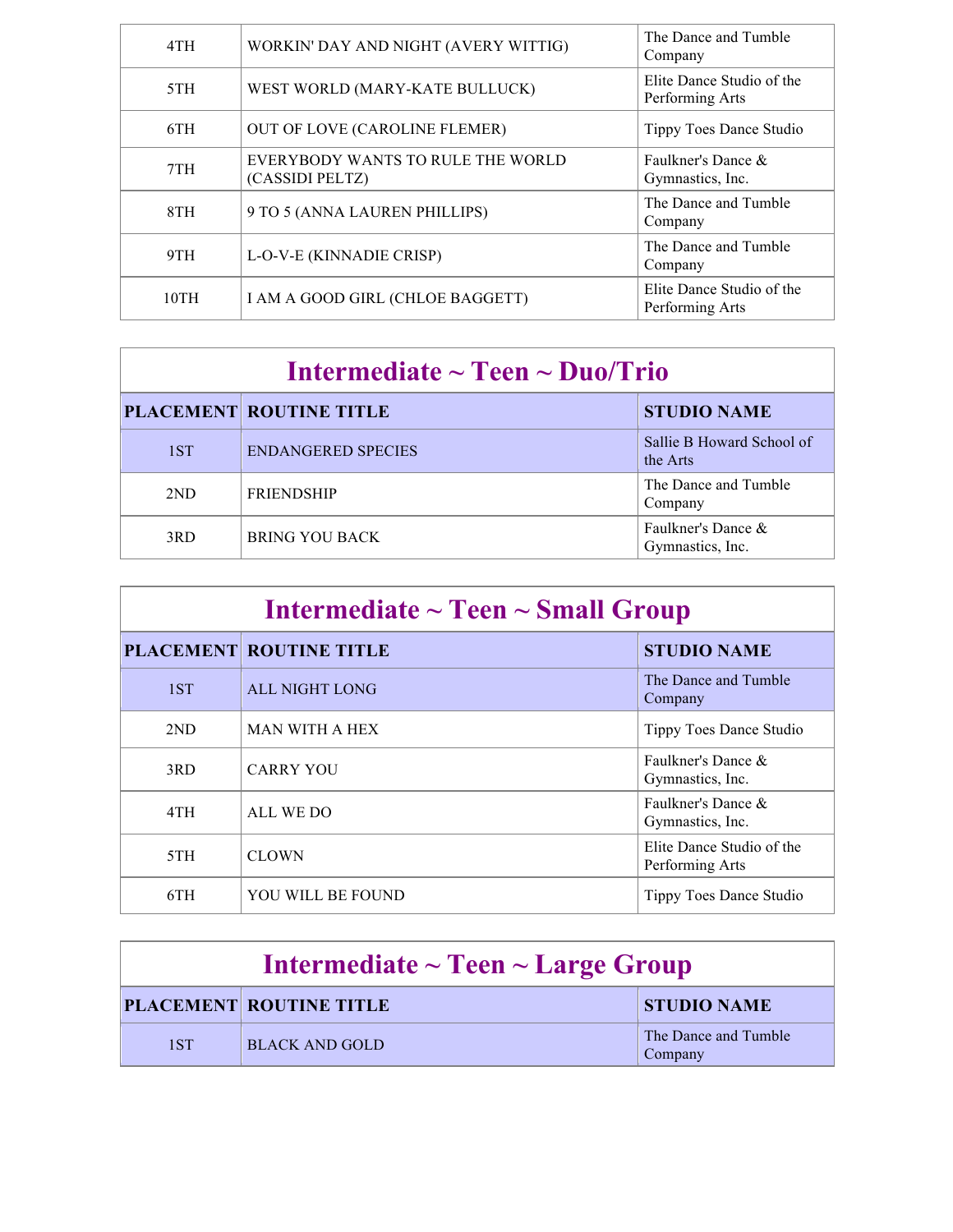| 4TH  | WORKIN' DAY AND NIGHT (AVERY WITTIG)                 | The Dance and Tumble<br>Company              |
|------|------------------------------------------------------|----------------------------------------------|
| 5TH  | WEST WORLD (MARY-KATE BULLUCK)                       | Elite Dance Studio of the<br>Performing Arts |
| 6TH  | OUT OF LOVE (CAROLINE FLEMER)                        | Tippy Toes Dance Studio                      |
| 7TH  | EVERYBODY WANTS TO RULE THE WORLD<br>(CASSIDI PELTZ) | Faulkner's Dance &<br>Gymnastics, Inc.       |
| 8TH  | 9 TO 5 (ANNA LAUREN PHILLIPS)                        | The Dance and Tumble<br>Company              |
| 9TH  | L-O-V-E (KINNADIE CRISP)                             | The Dance and Tumble<br>Company              |
| 10TH | I AM A GOOD GIRL (CHLOE BAGGETT)                     | Elite Dance Studio of the<br>Performing Arts |

| Intermediate $\sim$ Teen $\sim$ Duo/Trio |
|------------------------------------------|
|                                          |

|     | <b>PLACEMENT ROUTINE TITLE</b> | <b>STUDIO NAME</b>                     |
|-----|--------------------------------|----------------------------------------|
| 1ST | <b>ENDANGERED SPECIES</b>      | Sallie B Howard School of<br>the Arts  |
| 2ND | <b>FRIENDSHIP</b>              | The Dance and Tumble<br>Company        |
| 3RD | <b>BRING YOU BACK</b>          | Faulkner's Dance &<br>Gymnastics, Inc. |

| Intermediate $\sim$ Teen $\sim$ Small Group |                                |                                              |
|---------------------------------------------|--------------------------------|----------------------------------------------|
|                                             | <b>PLACEMENT ROUTINE TITLE</b> | <b>STUDIO NAME</b>                           |
| 1ST                                         | <b>ALL NIGHT LONG</b>          | The Dance and Tumble<br>Company              |
| 2ND                                         | <b>MAN WITH A HEX</b>          | Tippy Toes Dance Studio                      |
| 3RD                                         | <b>CARRY YOU</b>               | Faulkner's Dance $\&$<br>Gymnastics, Inc.    |
| 4TH                                         | ALL WE DO                      | Faulkner's Dance &<br>Gymnastics, Inc.       |
| 5TH                                         | <b>CLOWN</b>                   | Elite Dance Studio of the<br>Performing Arts |
| 6TH                                         | YOU WILL BE FOUND              | Tippy Toes Dance Studio                      |

| Intermediate $\sim$ Teen $\sim$ Large Group |                                |                                 |
|---------------------------------------------|--------------------------------|---------------------------------|
|                                             | <b>PLACEMENT ROUTINE TITLE</b> | <b>STUDIO NAME</b>              |
| 1ST                                         | BLACK AND GOLD                 | The Dance and Tumble<br>Company |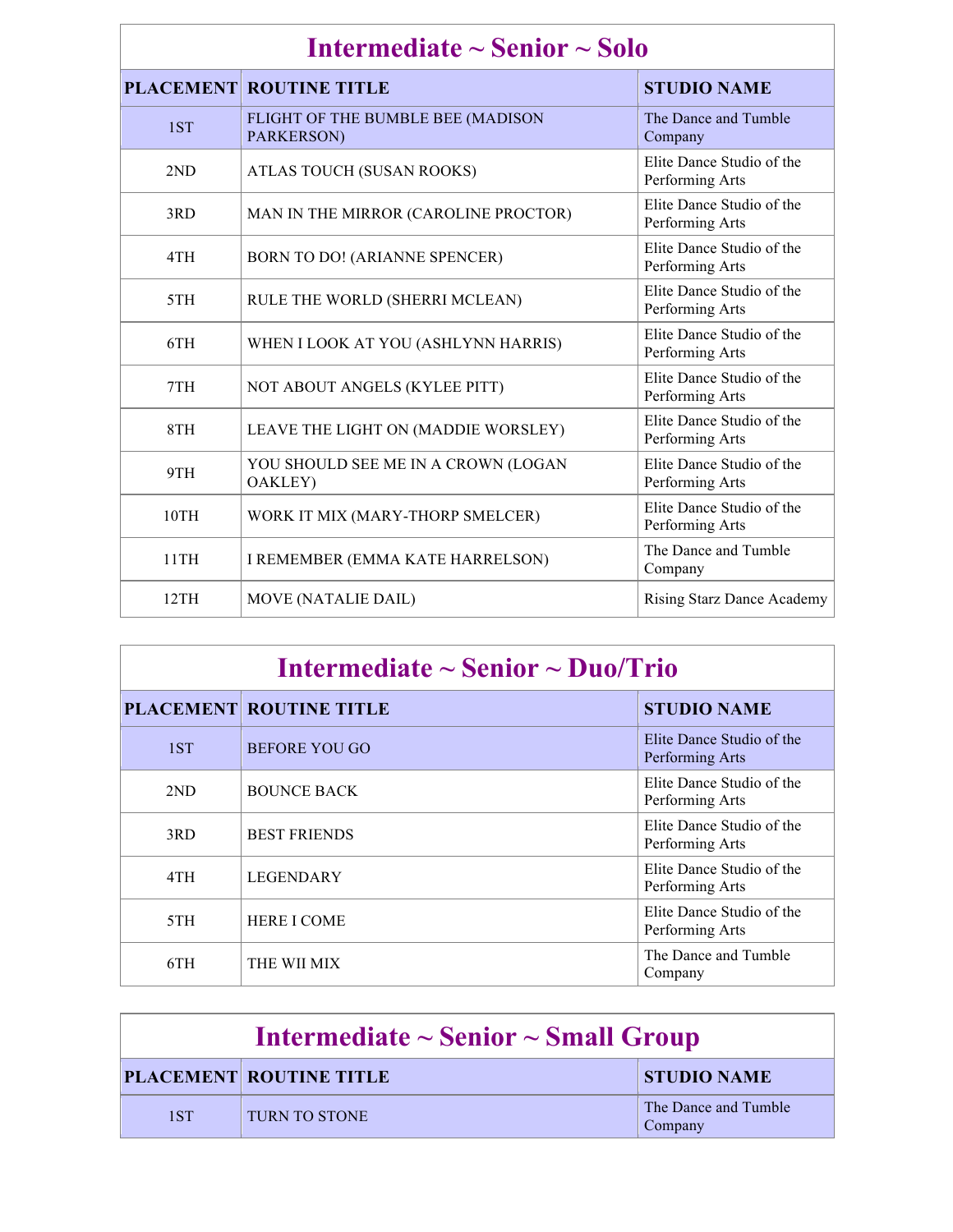| Intermediate $\sim$ Senior $\sim$ Solo |                                                        |                                              |
|----------------------------------------|--------------------------------------------------------|----------------------------------------------|
|                                        | <b>PLACEMENT ROUTINE TITLE</b>                         | <b>STUDIO NAME</b>                           |
| 1ST                                    | FLIGHT OF THE BUMBLE BEE (MADISON<br>PARKERSON)        | The Dance and Tumble<br>Company              |
| 2ND                                    | ATLAS TOUCH (SUSAN ROOKS)                              | Elite Dance Studio of the<br>Performing Arts |
| 3RD                                    | MAN IN THE MIRROR (CAROLINE PROCTOR)                   | Elite Dance Studio of the<br>Performing Arts |
| 4TH                                    | <b>BORN TO DO! (ARIANNE SPENCER)</b>                   | Elite Dance Studio of the<br>Performing Arts |
| 5TH                                    | RULE THE WORLD (SHERRI MCLEAN)                         | Elite Dance Studio of the<br>Performing Arts |
| 6TH                                    | WHEN I LOOK AT YOU (ASHLYNN HARRIS)                    | Elite Dance Studio of the<br>Performing Arts |
| 7TH                                    | NOT ABOUT ANGELS (KYLEE PITT)                          | Elite Dance Studio of the<br>Performing Arts |
| 8TH                                    | LEAVE THE LIGHT ON (MADDIE WORSLEY)                    | Elite Dance Studio of the<br>Performing Arts |
| 9TH                                    | YOU SHOULD SEE ME IN A CROWN (LOGAN<br><b>OAKLEY</b> ) | Elite Dance Studio of the<br>Performing Arts |
| 10TH                                   | WORK IT MIX (MARY-THORP SMELCER)                       | Elite Dance Studio of the<br>Performing Arts |
| 11TH                                   | I REMEMBER (EMMA KATE HARRELSON)                       | The Dance and Tumble<br>Company              |
| 12TH                                   | <b>MOVE (NATALIE DAIL)</b>                             | <b>Rising Starz Dance Academy</b>            |

| Intermediate $\sim$ Senior $\sim$ Duo/Trio |                                |                                              |
|--------------------------------------------|--------------------------------|----------------------------------------------|
|                                            | <b>PLACEMENT ROUTINE TITLE</b> | <b>STUDIO NAME</b>                           |
| 1ST                                        | <b>BEFORE YOU GO</b>           | Elite Dance Studio of the<br>Performing Arts |
| 2ND                                        | <b>BOUNCE BACK</b>             | Elite Dance Studio of the<br>Performing Arts |
| 3RD                                        | <b>BEST FRIENDS</b>            | Elite Dance Studio of the<br>Performing Arts |
| 4TH                                        | <b>LEGENDARY</b>               | Elite Dance Studio of the<br>Performing Arts |
| 5TH                                        | <b>HERE I COME</b>             | Elite Dance Studio of the<br>Performing Arts |
| 6TH                                        | THE WII MIX                    | The Dance and Tumble<br>Company              |

| Intermediate $\sim$ Senior $\sim$ Small Group |                                |                                 |
|-----------------------------------------------|--------------------------------|---------------------------------|
|                                               | <b>PLACEMENT ROUTINE TITLE</b> | <b>STUDIO NAME</b>              |
| 1ST                                           | TURN TO STONE                  | The Dance and Tumble<br>Company |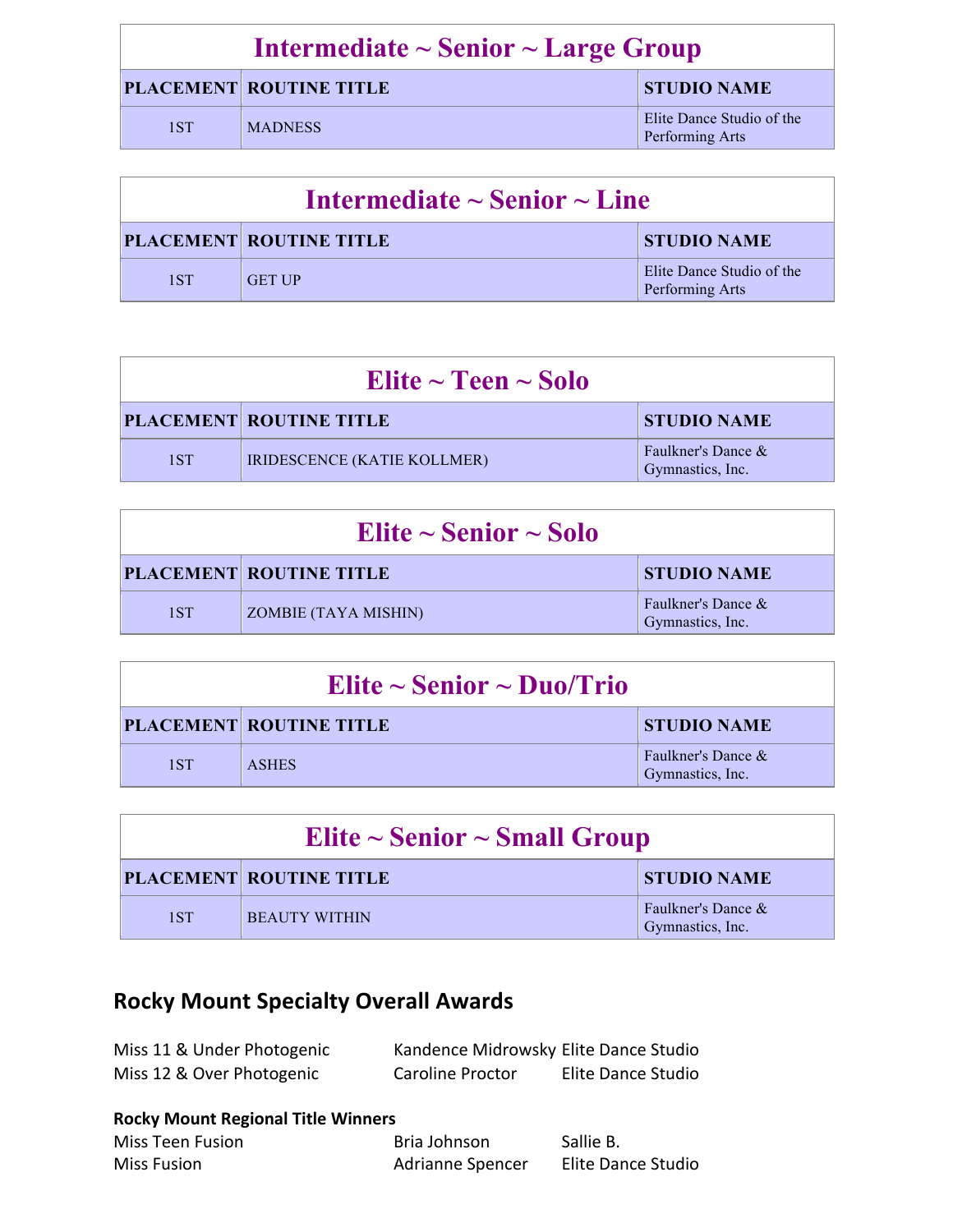| Intermediate $\sim$ Senior $\sim$ Large Group |                                |                                              |
|-----------------------------------------------|--------------------------------|----------------------------------------------|
|                                               | <b>PLACEMENT ROUTINE TITLE</b> | <b>STUDIO NAME</b>                           |
| 1ST                                           | <b>MADNESS</b>                 | Elite Dance Studio of the<br>Performing Arts |

| Intermediate $\sim$ Senior $\sim$ Line |                                |                                              |
|----------------------------------------|--------------------------------|----------------------------------------------|
|                                        | <b>PLACEMENT ROUTINE TITLE</b> | <b>STUDIO NAME</b>                           |
| 1ST                                    | <b>GET UP</b>                  | Elite Dance Studio of the<br>Performing Arts |

| Elite $\sim$ Teen $\sim$ Solo |                                |                                        |
|-------------------------------|--------------------------------|----------------------------------------|
|                               | <b>PLACEMENT ROUTINE TITLE</b> | <b>STUDIO NAME</b>                     |
| 1ST                           | IRIDESCENCE (KATIE KOLLMER)    | Faulkner's Dance &<br>Gymnastics, Inc. |

| Elite $\sim$ Senior $\sim$ Solo |                                |                                        |
|---------------------------------|--------------------------------|----------------------------------------|
|                                 | <b>PLACEMENT ROUTINE TITLE</b> | <b>STUDIO NAME</b>                     |
| 1ST                             | ZOMBIE (TAYA MISHIN)           | Faulkner's Dance &<br>Gymnastics, Inc. |

| Elite ~ Senior ~ Duo/Trio |                                |                                        |
|---------------------------|--------------------------------|----------------------------------------|
|                           | <b>PLACEMENT ROUTINE TITLE</b> | <b>STUDIO NAME</b>                     |
| 1ST                       | <b>ASHES</b>                   | Faulkner's Dance &<br>Gymnastics, Inc. |

| Elite $\sim$ Senior $\sim$ Small Group |                                |                                        |
|----------------------------------------|--------------------------------|----------------------------------------|
|                                        | <b>PLACEMENT ROUTINE TITLE</b> | <b>STUDIO NAME</b>                     |
| 1ST                                    | <b>BEAUTY WITHIN</b>           | Faulkner's Dance &<br>Gymnastics, Inc. |

# **Rocky Mount Specialty Overall Awards**

| Miss 11 & Under Photogenic | Kandence Midrowsky Elite Dance Studio |                    |
|----------------------------|---------------------------------------|--------------------|
| Miss 12 & Over Photogenic  | <b>Caroline Proctor</b>               | Elite Dance Studio |

#### **Rocky Mount Regional Title Winners**

| <b>Miss Teen Fusion</b> | Bria Johnson     | Sallie B.          |
|-------------------------|------------------|--------------------|
| <b>Miss Fusion</b>      | Adrianne Spencer | Elite Dance Studio |